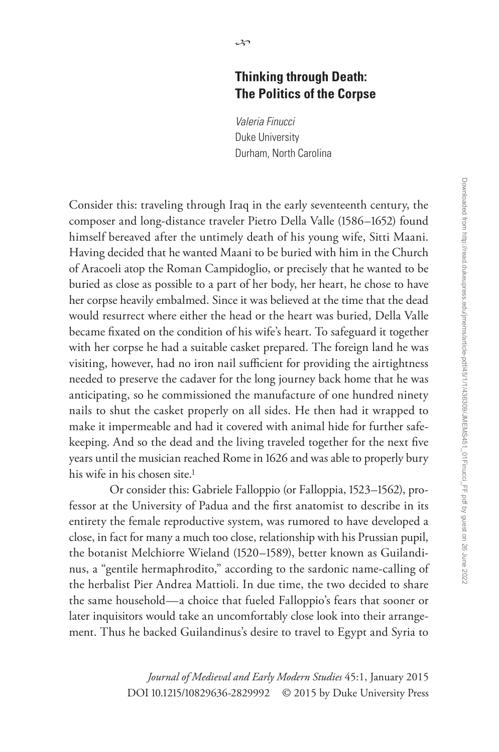## **Thinking through Death: The Politics of the Corpse**

*Valeria Finucci* Duke University Durham, North Carolina

Consider this: traveling through Iraq in the early seventeenth century, the composer and long-distance traveler Pietro Della Valle (1586–1652) found himself bereaved after the untimely death of his young wife, Sitti Maani. Having decided that he wanted Maani to be buried with him in the Church of Aracoeli atop the Roman Campidoglio, or precisely that he wanted to be buried as close as possible to a part of her body, her heart, he chose to have her corpse heavily embalmed. Since it was believed at the time that the dead would resurrect where either the head or the heart was buried, Della Valle became fixated on the condition of his wife's heart. To safeguard it together with her corpse he had a suitable casket prepared. The foreign land he was visiting, however, had no iron nail sufficient for providing the airtightness needed to preserve the cadaver for the long journey back home that he was anticipating, so he commissioned the manufacture of one hundred ninety nails to shut the casket properly on all sides. He then had it wrapped to make it impermeable and had it covered with animal hide for further safekeeping. And so the dead and the living traveled together for the next five years until the musician reached Rome in 1626 and was able to properly bury his wife in his chosen site.<sup>1</sup>

Or consider this: Gabriele Falloppio (or Falloppia, 1523–1562), professor at the University of Padua and the first anatomist to describe in its entirety the female reproductive system, was rumored to have developed a close, in fact for many a much too close, relationship with his Prussian pupil, the botanist Melchiorre Wieland (1520–1589), better known as Guilandinus, a "gentile hermaphrodito," according to the sardonic name-calling of the herbalist Pier Andrea Mattioli. In due time, the two decided to share the same household—a choice that fueled Falloppio's fears that sooner or later inquisitors would take an uncomfortably close look into their arrangement. Thus he backed Guilandinus's desire to travel to Egypt and Syria to

> *Journal of Medieval and Early Modern Studies* 45:1, January 2015 DOI 10.1215/10829636-2829992 © 2015 by Duke University Press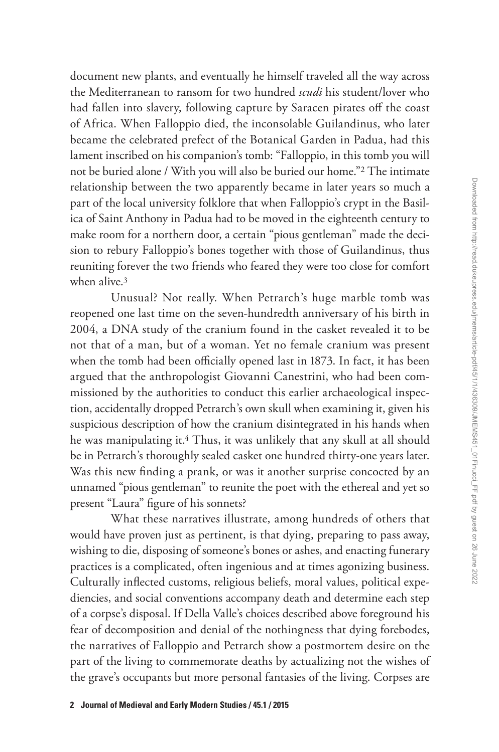document new plants, and eventually he himself traveled all the way across the Mediterranean to ransom for two hundred *scudi* his student/lover who had fallen into slavery, following capture by Saracen pirates off the coast of Africa. When Falloppio died, the inconsolable Guilandinus, who later became the celebrated prefect of the Botanical Garden in Padua, had this lament inscribed on his companion's tomb: "Falloppio, in this tomb you will not be buried alone / With you will also be buried our home."2 The intimate relationship between the two apparently became in later years so much a part of the local university folklore that when Falloppio's crypt in the Basilica of Saint Anthony in Padua had to be moved in the eighteenth century to make room for a northern door, a certain "pious gentleman" made the decision to rebury Falloppio's bones together with those of Guilandinus, thus reuniting forever the two friends who feared they were too close for comfort when alive.3

Unusual? Not really. When Petrarch's huge marble tomb was reopened one last time on the seven-hundredth anniversary of his birth in 2004, a DNA study of the cranium found in the casket revealed it to be not that of a man, but of a woman. Yet no female cranium was present when the tomb had been officially opened last in 1873. In fact, it has been argued that the anthropologist Giovanni Canestrini, who had been commissioned by the authorities to conduct this earlier archaeological inspection, accidentally dropped Petrarch's own skull when examining it, given his suspicious description of how the cranium disintegrated in his hands when he was manipulating it.<sup>4</sup> Thus, it was unlikely that any skull at all should be in Petrarch's thoroughly sealed casket one hundred thirty-one years later. Was this new finding a prank, or was it another surprise concocted by an unnamed "pious gentleman" to reunite the poet with the ethereal and yet so present "Laura" figure of his sonnets?

What these narratives illustrate, among hundreds of others that would have proven just as pertinent, is that dying, preparing to pass away, wishing to die, disposing of someone's bones or ashes, and enacting funerary practices is a complicated, often ingenious and at times agonizing business. Culturally inflected customs, religious beliefs, moral values, political expediencies, and social conventions accompany death and determine each step of a corpse's disposal. If Della Valle's choices described above foreground his fear of decomposition and denial of the nothingness that dying forebodes, the narratives of Falloppio and Petrarch show a postmortem desire on the part of the living to commemorate deaths by actualizing not the wishes of the grave's occupants but more personal fantasies of the living. Corpses are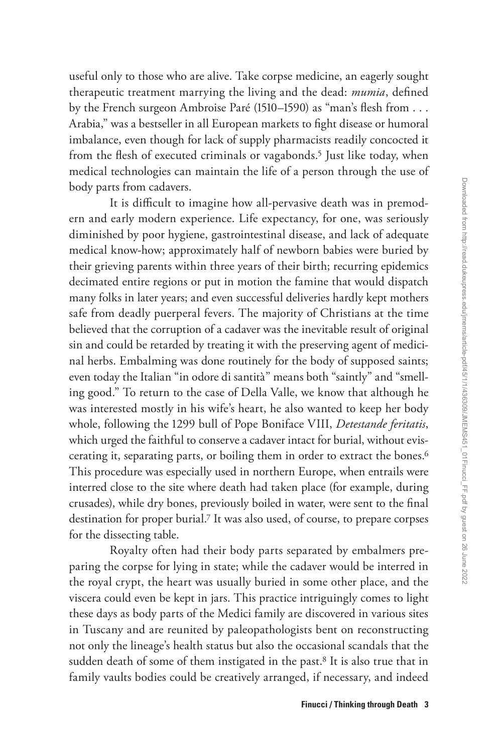useful only to those who are alive. Take corpse medicine, an eagerly sought therapeutic treatment marrying the living and the dead: *mumia*, defined by the French surgeon Ambroise Paré (1510–1590) as "man's flesh from . . . Arabia," was a bestseller in all European markets to fight disease or humoral imbalance, even though for lack of supply pharmacists readily concocted it from the flesh of executed criminals or vagabonds.<sup>5</sup> Just like today, when medical technologies can maintain the life of a person through the use of body parts from cadavers.

It is difficult to imagine how all-pervasive death was in premodern and early modern experience. Life expectancy, for one, was seriously diminished by poor hygiene, gastrointestinal disease, and lack of adequate medical know-how; approximately half of newborn babies were buried by their grieving parents within three years of their birth; recurring epidemics decimated entire regions or put in motion the famine that would dispatch many folks in later years; and even successful deliveries hardly kept mothers safe from deadly puerperal fevers. The majority of Christians at the time believed that the corruption of a cadaver was the inevitable result of original sin and could be retarded by treating it with the preserving agent of medicinal herbs. Embalming was done routinely for the body of supposed saints; even today the Italian "in odore di santità" means both "saintly" and "smelling good." To return to the case of Della Valle, we know that although he was interested mostly in his wife's heart, he also wanted to keep her body whole, following the 1299 bull of Pope Boniface VIII, *Detestande feritatis*, which urged the faithful to conserve a cadaver intact for burial, without eviscerating it, separating parts, or boiling them in order to extract the bones.6 This procedure was especially used in northern Europe, when entrails were interred close to the site where death had taken place (for example, during crusades), while dry bones, previously boiled in water, were sent to the final destination for proper burial.7 It was also used, of course, to prepare corpses for the dissecting table.

Royalty often had their body parts separated by embalmers preparing the corpse for lying in state; while the cadaver would be interred in the royal crypt, the heart was usually buried in some other place, and the viscera could even be kept in jars. This practice intriguingly comes to light these days as body parts of the Medici family are discovered in various sites in Tuscany and are reunited by paleopathologists bent on reconstructing not only the lineage's health status but also the occasional scandals that the sudden death of some of them instigated in the past.8 It is also true that in family vaults bodies could be creatively arranged, if necessary, and indeed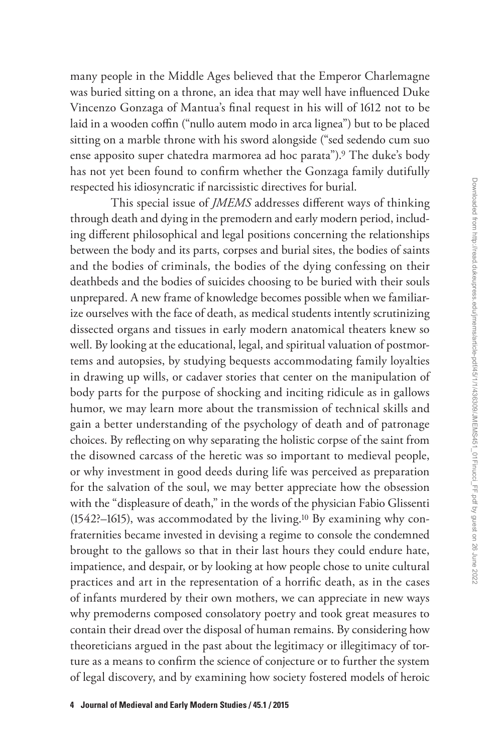many people in the Middle Ages believed that the Emperor Charlemagne was buried sitting on a throne, an idea that may well have influenced Duke Vincenzo Gonzaga of Mantua's final request in his will of 1612 not to be laid in a wooden coffin ("nullo autem modo in arca lignea") but to be placed sitting on a marble throne with his sword alongside ("sed sedendo cum suo ense apposito super chatedra marmorea ad hoc parata").9 The duke's body has not yet been found to confirm whether the Gonzaga family dutifully respected his idiosyncratic if narcissistic directives for burial.

This special issue of *JMEMS* addresses different ways of thinking through death and dying in the premodern and early modern period, including different philosophical and legal positions concerning the relationships between the body and its parts, corpses and burial sites, the bodies of saints and the bodies of criminals, the bodies of the dying confessing on their deathbeds and the bodies of suicides choosing to be buried with their souls unprepared. A new frame of knowledge becomes possible when we familiarize ourselves with the face of death, as medical students intently scrutinizing dissected organs and tissues in early modern anatomical theaters knew so well. By looking at the educational, legal, and spiritual valuation of postmortems and autopsies, by studying bequests accommodating family loyalties in drawing up wills, or cadaver stories that center on the manipulation of body parts for the purpose of shocking and inciting ridicule as in gallows humor, we may learn more about the transmission of technical skills and gain a better understanding of the psychology of death and of patronage choices. By reflecting on why separating the holistic corpse of the saint from the disowned carcass of the heretic was so important to medieval people, or why investment in good deeds during life was perceived as preparation for the salvation of the soul, we may better appreciate how the obsession with the "displeasure of death," in the words of the physician Fabio Glissenti (1542?–1615), was accommodated by the living.10 By examining why confraternities became invested in devising a regime to console the condemned brought to the gallows so that in their last hours they could endure hate, impatience, and despair, or by looking at how people chose to unite cultural practices and art in the representation of a horrific death, as in the cases of infants murdered by their own mothers, we can appreciate in new ways why premoderns composed consolatory poetry and took great measures to contain their dread over the disposal of human remains. By considering how theoreticians argued in the past about the legitimacy or illegitimacy of torture as a means to confirm the science of conjecture or to further the system of legal discovery, and by examining how society fostered models of heroic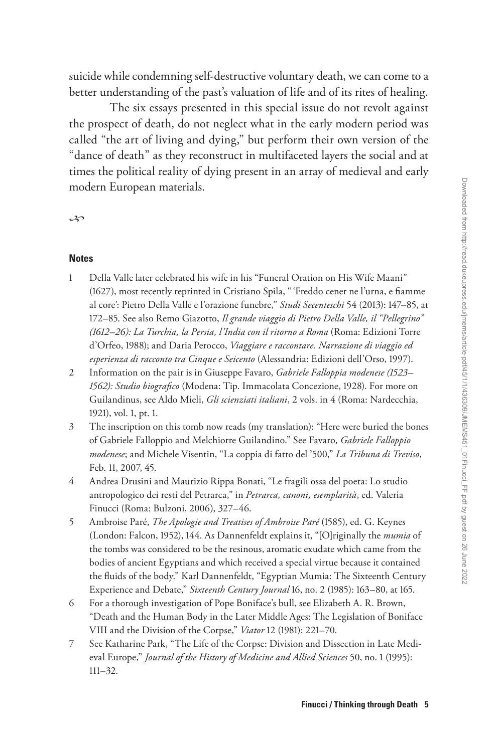suicide while condemning self-destructive voluntary death, we can come to a better understanding of the past's valuation of life and of its rites of healing.

The six essays presented in this special issue do not revolt against the prospect of death, do not neglect what in the early modern period was called "the art of living and dying," but perform their own version of the "dance of death" as they reconstruct in multifaceted layers the social and at times the political reality of dying present in an array of medieval and early modern European materials.

 $\mathcal{L}$ 

## **Notes**

- 1 Della Valle later celebrated his wife in his "Funeral Oration on His Wife Maani" (1627), most recently reprinted in Cristiano Spila, " 'Freddo cener ne l'urna, e fiamme al core': Pietro Della Valle e l'orazione funebre," *Studi Secenteschi* 54 (2013): 147–85, at 172–85. See also Remo Giazotto, *Il grande viaggio di Pietro Della Valle, il "Pellegrino" (1612–26): La Turchia, la Persia, l'India con il ritorno a Roma* (Roma: Edizioni Torre d'Orfeo, 1988); and Daria Perocco, *Viaggiare e raccontare. Narrazione di viaggio ed esperienza di racconto tra Cinque e Seicento* (Alessandria: Edizioni dell'Orso, 1997).
- 2 Information on the pair is in Giuseppe Favaro, *Gabriele Falloppia modenese (1523– 1562): Studio biografico* (Modena: Tip. Immacolata Concezione, 1928). For more on Guilandinus, see Aldo Mieli, *Gli scienziati italiani*, 2 vols. in 4 (Roma: Nardecchia, 1921), vol. 1, pt. 1.
- 3 The inscription on this tomb now reads (my translation): "Here were buried the bones of Gabriele Falloppio and Melchiorre Guilandino." See Favaro, *Gabriele Falloppio modenese*; and Michele Visentin, "La coppia di fatto del '500," *La Tribuna di Treviso*, Feb. 11, 2007, 45.
- 4 Andrea Drusini and Maurizio Rippa Bonati, "Le fragili ossa del poeta: Lo studio antropologico dei resti del Petrarca," in *Petrarca, canoni, esemplarità*, ed. Valeria Finucci (Roma: Bulzoni, 2006), 327–46.
- 5 Ambroise Paré, *The Apologie and Treatises of Ambroise Paré* (1585), ed. G. Keynes (London: Falcon, 1952), 144. As Dannenfeldt explains it, "[O]riginally the *mumia* of the tombs was considered to be the resinous, aromatic exudate which came from the bodies of ancient Egyptians and which received a special virtue because it contained the fluids of the body." Karl Dannenfeldt, "Egyptian Mumia: The Sixteenth Century Experience and Debate," *Sixteenth Century Journal* 16, no. 2 (1985): 163–80, at 165.
- 6 For a thorough investigation of Pope Boniface's bull, see Elizabeth A. R. Brown, "Death and the Human Body in the Later Middle Ages: The Legislation of Boniface VIII and the Division of the Corpse," *Viator* 12 (1981): 221–70.
- 7 See Katharine Park, "The Life of the Corpse: Division and Dissection in Late Medieval Europe," *Journal of the History of Medicine and Allied Sciences* 50, no. 1 (1995): 111–32.